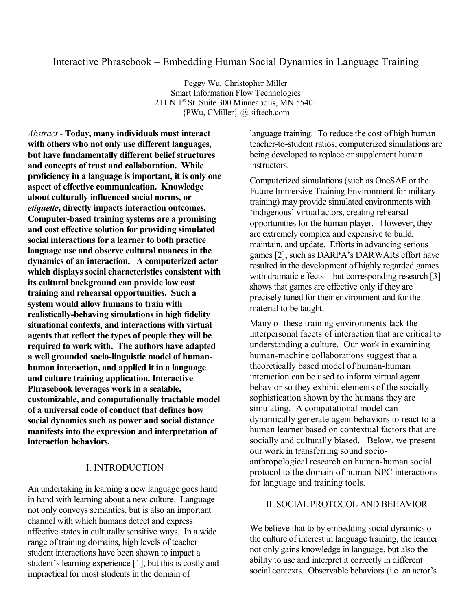# Interactive Phrasebook – Embedding Human Social Dynamics in Language Training

Peggy Wu, Christopher Miller Smart Information Flow Technologies  $211$  N  $1<sup>st</sup>$  St. Suite 300 Minneapolis, MN 55401 {PWu, CMiller} @ siftech.com

*Abstract* - **Today, many individuals must interact with others who not only use different languages, but have fundamentally different belief structures and concepts of trust and collaboration. While proficiency in a language is important, it is only one aspect of effective communication. Knowledge about culturally influenced social norms, or**  *etiquette***, directly impacts interaction outcomes. Computer-based training systems are a promising and cost effective solution for providing simulated social interactions for a learner to both practice language use and observe cultural nuances in the dynamics of an interaction. A computerized actor which displays social characteristics consistent with its cultural background can provide low cost training and rehearsal opportunities. Such a system would allow humans to train with realistically-behaving simulations in high fidelity situational contexts, and interactions with virtual agents that reflect the types of people they will be required to work with. The authors have adapted a well grounded socio-linguistic model of humanhuman interaction, and applied it in a language and culture training application. Interactive Phrasebook leverages work in a scalable, customizable, and computationally tractable model of a universal code of conduct that defines how social dynamics such as power and social distance manifests into the expression and interpretation of interaction behaviors.**

# I. INTRODUCTION

An undertaking in learning a new language goes hand in hand with learning about a new culture. Language not only conveys semantics, but is also an important channel with which humans detect and express affective states in culturally sensitive ways. In a wide range of training domains, high levels of teacher student interactions have been shown to impact a student's learning experience [1], but this is costly and impractical for most students in the domain of

language training. To reduce the cost of high human teacher-to-student ratios, computerized simulations are being developed to replace or supplement human **instructors** 

Computerized simulations (such as OneSAF or the Future Immersive Training Environment for military training) may provide simulated environments with 'indigenous' virtual actors, creating rehearsal opportunities for the human player. However, they are extremely complex and expensive to build, maintain, and update. Efforts in advancing serious games [2], such as DARPA's DARWARs effort have resulted in the development of highly regarded games with dramatic effects—but corresponding research [3] shows that games are effective only if they are precisely tuned for their environment and for the material to be taught.

Many of these training environments lack the interpersonal facets of interaction that are critical to understanding a culture. Our work in examining human-machine collaborations suggest that a theoretically based model of human-human interaction can be used to inform virtual agent behavior so they exhibit elements of the socially sophistication shown by the humans they are simulating. A computational model can dynamically generate agent behaviors to react to a human learner based on contextual factors that are socially and culturally biased. Below, we present our work in transferring sound socioanthropological research on human-human social protocol to the domain of human-NPC interactions for language and training tools.

#### II. SOCIAL PROTOCOL AND BEHAVIOR

We believe that to by embedding social dynamics of the culture of interest in language training, the learner not only gains knowledge in language, but also the ability to use and interpret it correctly in different social contexts. Observable behaviors (i.e. an actor's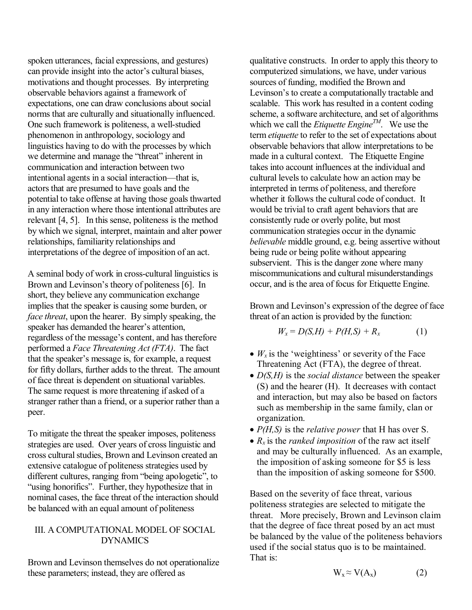spoken utterances, facial expressions, and gestures) can provide insight into the actor's cultural biases, motivations and thought processes. By interpreting observable behaviors against a framework of expectations, one can draw conclusions about social norms that are culturally and situationally influenced. One such framework is politeness, a well-studied phenomenon in anthropology, sociology and linguistics having to do with the processes by which we determine and manage the "threat" inherent in communication and interaction between two intentional agents in a social interaction—that is, actors that are presumed to have goals and the potential to take offense at having those goals thwarted in any interaction where those intentional attributes are relevant [4, 5]. In this sense, politeness is the method by which we signal, interpret, maintain and alter power relationships, familiarity relationships and interpretations of the degree of imposition of an act.

A seminal body of work in cross-cultural linguistics is Brown and Levinson's theory of politeness [6]. In short, they believe any communication exchange implies that the speaker is causing some burden, or *face threat*, upon the hearer. By simply speaking, the speaker has demanded the hearer's attention, regardless of the message's content, and has therefore performed a *Face Threatening Act (FTA)*. The fact that the speaker's message is, for example, a request for fifty dollars, further adds to the threat. The amount of face threat is dependent on situational variables. The same request is more threatening if asked of a stranger rather than a friend, or a superior rather than a peer.

To mitigate the threat the speaker imposes, politeness strategies are used. Over years of cross linguistic and cross cultural studies, Brown and Levinson created an extensive catalogue of politeness strategies used by different cultures, ranging from "being apologetic", to "using honorifics". Further, they hypothesize that in nominal cases, the face threat of the interaction should be balanced with an equal amount of politeness

# III. A COMPUTATIONAL MODEL OF SOCIAL DYNAMICS

Brown and Levinson themselves do not operationalize these parameters; instead, they are offered as

qualitative constructs. In order to apply this theory to computerized simulations, we have, under various sources of funding, modified the Brown and Levinson's to create a computationally tractable and scalable. This work has resulted in a content coding scheme, a software architecture, and set of algorithms which we call the *Etiquette Engine*<sup> $TM$ </sup>. We use the term *etiquette* to refer to the set of expectations about observable behaviors that allow interpretations to be made in a cultural context. The Etiquette Engine takes into account influences at the individual and cultural levels to calculate how an action may be interpreted in terms of politeness, and therefore whether it follows the cultural code of conduct. It would be trivial to craft agent behaviors that are consistently rude or overly polite, but most communication strategies occur in the dynamic *believable* middle ground, e.g. being assertive without being rude or being polite without appearing subservient. This is the danger zone where many miscommunications and cultural misunderstandings occur, and is the area of focus for Etiquette Engine.

Brown and Levinson's expression of the degree of face threat of an action is provided by the function:

$$
W_x = D(S,H) + P(H,S) + R_x \tag{1}
$$

- $\bullet$   $W_x$  is the 'weightiness' or severity of the Face Threatening Act (FTA), the degree of threat.
- *D(S,H)* is the *social distance* between the speaker (S) and the hearer (H). It decreases with contact and interaction, but may also be based on factors such as membership in the same family, clan or organization.
- *P(H,S)* is the *relative power* that H has over S.
- $R_x$  is the *ranked imposition* of the raw act itself and may be culturally influenced. As an example, the imposition of asking someone for \$5 is less than the imposition of asking someone for \$500.

Based on the severity of face threat, various politeness strategies are selected to mitigate the threat. More precisely, Brown and Levinson claim that the degree of face threat posed by an act must be balanced by the value of the politeness behaviors used if the social status quo is to be maintained. That is:

$$
W_x \approx V(A_x) \tag{2}
$$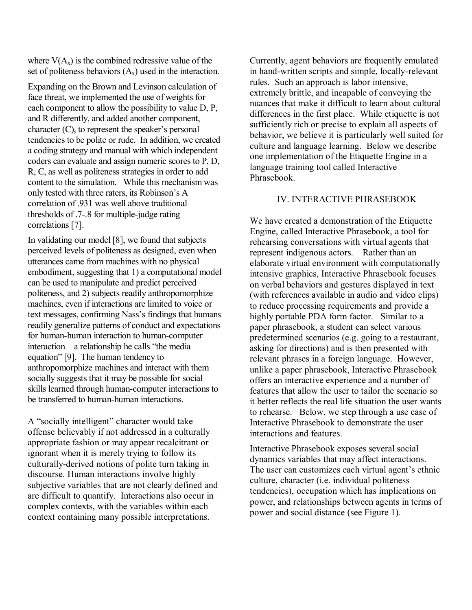where  $V(A_x)$  is the combined redressive value of the set of politeness behaviors  $(A_x)$  used in the interaction.

Expanding on the Brown and Levinson calculation of face threat, we implemented the use of weights for each component to allow the possibility to value D, P, and R differently, and added another component, character (C), to represent the speaker's personal tendencies to be polite or rude. In addition, we created a coding strategy and manual with which independent coders can evaluate and assign numeric scores to P, D, R, C, as well as politeness strategies in order to add content to the simulation. While this mechanism was only tested with three raters, its Robinson's A correlation of .931 was well above traditional thresholds of .7-.8 for multiple-judge rating correlations [7].

<span id="page-2-0"></span>In validating our model [8], we found that subjects perceived levels of politeness as designed, even when utterances came from machines with no physical embodiment, suggesting that 1) a computational model can be used to manipulate and predict perceived politeness, and 2) subjects readily anthropomorphize machines, even if interactions are limited to voice or text messages, confirming Nass's findings that humans readily generalize patterns of conduct and expectations for human-human interaction to human-computer interaction—a relationship he calls "the media equation" [9]. The human tendency to anthropomorphize machines and interact with them socially suggests that it may be possible for social skills learned through human-computer interactions to be transferred to human-human interactions.

A "socially intelligent" character would take offense believably if not addressed in a culturally appropriate fashion or may appear recalcitrant or ignorant when it is merely trying to follow its culturally-derived notions of polite turn taking in discourse. Human interactions involve highly subjective variables that are not clearly defined and are difficult to quantify. Interactions also occur in complex contexts, with the variables within each context containing many possible interpretations.

Currently, agent behaviors are frequently emulated in hand-written scripts and simple, locally-relevant rules. Such an approach is labor intensive, extremely brittle, and incapable of conveying the nuances that make it difficult to learn about cultural differences in the first place. While etiquette is not sufficiently rich or precise to explain all aspects of behavior, we believe it is particularly well suited for culture and language learning. Below we describe one implementation of the Etiquette Engine in a language training tool called Interactive Phrasebook.

# IV. INTERACTIVE PHRASEBOOK

We have created a demonstration of the Etiquette Engine, called Interactive Phrasebook, a tool for rehearsing conversations with virtual agents that represent indigenous actors. Rather than an elaborate virtual environment with computationally intensive graphics, Interactive Phrasebook focuses on verbal behaviors and gestures displayed in text (with references available in audio and video clips) to reduce processing requirements and provide a highly portable PDA form factor. Similar to a paper phrasebook, a student can select various predetermined scenarios (e.g. going to a restaurant, asking for directions) and is then presented with relevant phrases in a foreign language. However, unlike a paper phrasebook, Interactive Phrasebook offers an interactive experience and a number of features that allow the user to tailor the scenario so it better reflects the real life situation the user wants to rehearse. Below, we step through a use case of Interactive Phrasebook to demonstrate the user interactions and features.

Interactive Phrasebook exposes several social dynamics variables that may affect interactions. The user can customizes each virtual agent's ethnic culture, character (i.e. individual politeness tendencies), occupation which has implications on power, and relationships between agents in terms of power and social distance (see Figure 1).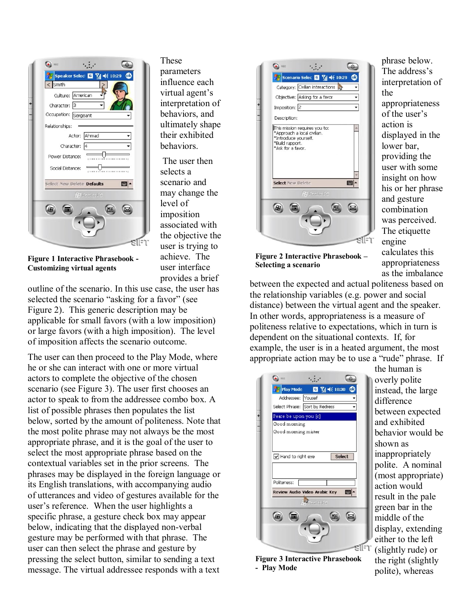

These parameters influence each virtual agent's interpretation of behaviors, and ultimately shape their exhibited behaviors.

The user then selects a scenario and may change the level of imposition associated with the objective the user is trying to achieve. The user interface provides a brief

**Figure 1 Interactive Phrasebook - Customizing virtual agents**

outline of the scenario. In this use case, the user has selected the scenario "asking for a favor" (see Figure 2). This generic description may be applicable for small favors (with a low imposition) or large favors (with a high imposition). The level of imposition affects the scenario outcome.

The user can then proceed to the Play Mode, where he or she can interact with one or more virtual actors to complete the objective of the chosen scenario (see Figure 3). The user first chooses an actor to speak to from the addressee combo box. A list of possible phrases then populates the list below, sorted by the amount of politeness. Note that the most polite phrase may not always be the most appropriate phrase, and it is the goal of the user to select the most appropriate phrase based on the contextual variables set in the prior screens. The phrases may be displayed in the foreign language or its English translations, with accompanying audio of utterances and video of gestures available for the user's reference. When the user highlights a specific phrase, a gesture check box may appear below, indicating that the displayed non-verbal gesture may be performed with that phrase. The user can then select the phrase and gesture by pressing the select button, similar to sending a text message. The virtual addressee responds with a text



phrase below. The address's interpretation of the appropriateness of the user's action is displayed in the lower bar, providing the user with some insight on how his or her phrase and gesture combination was perceived. The etiquette engine calculates this appropriateness as the imbalance

**Figure 2 Interactive Phrasebook – Selecting a scenario**

between the expected and actual politeness based on the relationship variables (e.g. power and social distance) between the virtual agent and the speaker. In other words, appropriateness is a measure of politeness relative to expectations, which in turn is dependent on the situational contexts. If, for example, the user is in a heated argument, the most appropriate action may be to use a "rude" phrase. If



**Figure 3 Interactive Phrasebook - Play Mode**

the human is overly polite instead, the large difference between expected and exhibited behavior would be shown as inappropriately polite. A nominal (most appropriate) action would result in the pale green bar in the middle of the display, extending either to the left (slightly rude) or the right (slightly polite), whereas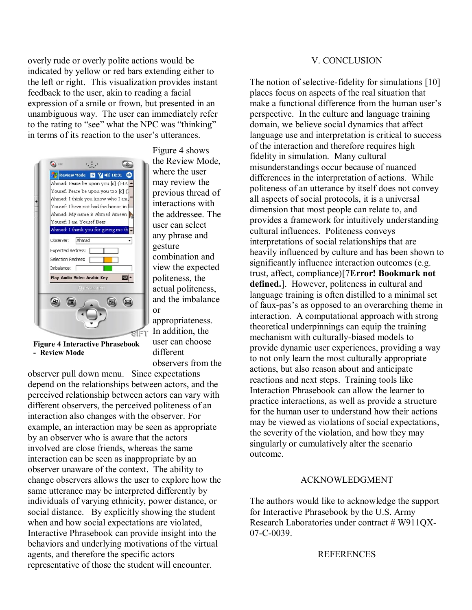overly rude or overly polite actions would be indicated by yellow or red bars extending either to the left or right. This visualization provides instant feedback to the user, akin to reading a facial expression of a smile or frown, but presented in an unambiguous way. The user can immediately refer to the rating to "see" what the NPC was "thinking" in terms of its reaction to the user's utterances.



Figure 4 shows the Review Mode, where the user may review the previous thread of interactions with the addressee. The user can select any phrase and gesture combination and view the expected politeness, the actual politeness, and the imbalance or appropriateness. In addition, the

user can choose

observers from the

different

**Figure 4 Interactive Phrasebook - Review Mode**

observer pull down menu. Since expectations depend on the relationships between actors, and the perceived relationship between actors can vary with different observers, the perceived politeness of an interaction also changes with the observer. For example, an interaction may be seen as appropriate by an observer who is aware that the actors involved are close friends, whereas the same interaction can be seen as inappropriate by an observer unaware of the context. The ability to change observers allows the user to explore how the same utterance may be interpreted differently by individuals of varying ethnicity, power distance, or social distance. By explicitly showing the student when and how social expectations are violated, Interactive Phrasebook can provide insight into the behaviors and underlying motivations of the virtual agents, and therefore the specific actors representative of those the student will encounter.

#### V. CONCLUSION

The notion of selective-fidelity for simulations [10] places focus on aspects of the real situation that make a functional difference from the human user's perspective. In the culture and language training domain, we believe social dynamics that affect language use and interpretation is critical to success of the interaction and therefore requires high fidelity in simulation. Many cultural misunderstandings occur because of nuanced differences in the interpretation of actions. While politeness of an utterance by itself does not convey all aspects of social protocols, it is a universal dimension that most people can relate to, and provides a framework for intuitively understanding cultural influences. Politeness conveys interpretations of social relationships that are heavily influenced by culture and has been shown to significantly influence interaction outcomes (e.g. trust, affect, compliance)[\[7](#page-2-0)**[Error! Bookmark not](#page-2-0)  defined.**]. However, politeness in cultural and language training is often distilled to a minimal set of faux-pas's as opposed to an overarching theme in interaction. A computational approach with strong theoretical underpinnings can equip the training mechanism with culturally-biased models to provide dynamic user experiences, providing a way to not only learn the most culturally appropriate actions, but also reason about and anticipate reactions and next steps. Training tools like Interaction Phrasebook can allow the learner to practice interactions, as well as provide a structure for the human user to understand how their actions may be viewed as violations of social expectations, the severity of the violation, and how they may singularly or cumulatively alter the scenario outcome.

#### ACKNOWLEDGMENT

The authors would like to acknowledge the support for Interactive Phrasebook by the U.S. Army Research Laboratories under contract # W911QX-07-C-0039.

#### REFERENCES